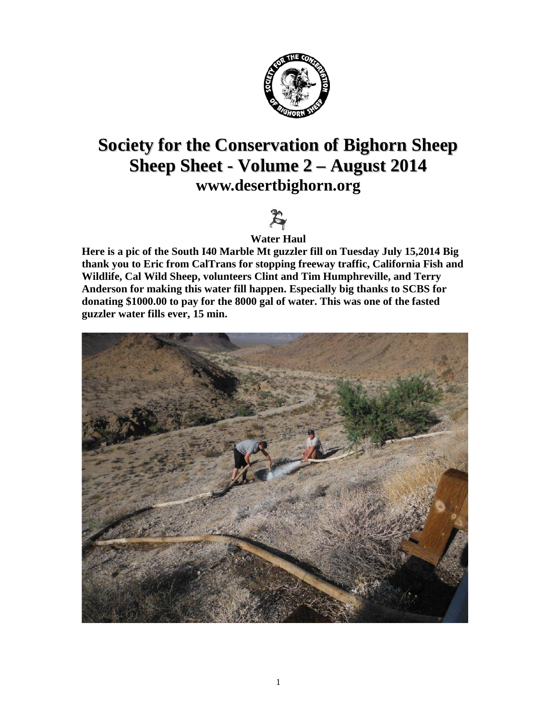

### **Society for the Conservation of Bighorn Sheep Sheep Sheet - Volume 2 – August 2014 [www.desertbighorn.org](http://www.desertbighorn.org/)**



**Water Haul**

**Here is a pic of the South I40 Marble Mt guzzler fill on Tuesday July 15,2014 Big thank you to Eric from CalTrans for stopping freeway traffic, California Fish and Wildlife, Cal Wild Sheep, volunteers Clint and Tim Humphreville, and Terry Anderson for making this water fill happen. Especially big thanks to SCBS for donating \$1000.00 to pay for the 8000 gal of water. This was one of the fasted guzzler water fills ever, 15 min.**

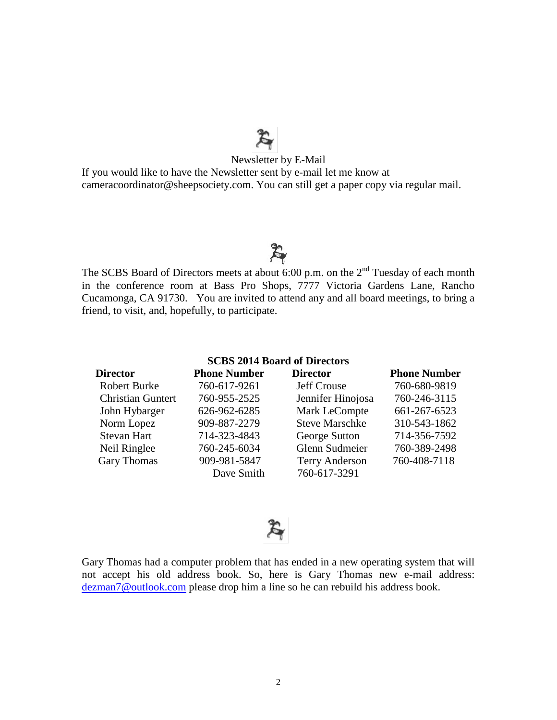# $\mathbb{R}$ <br>Newsletter by E-Mail

If you would like to have the Newsletter sent by e-mail let me know at cameracoordinator@sheepsociety.com. You can still get a paper copy via regular mail.

### $z$

The SCBS Board of Directors meets at about 6:00 p.m. on the  $2<sup>nd</sup>$  Tuesday of each month in the conference room at Bass Pro Shops, 7777 Victoria Gardens Lane, Rancho Cucamonga, CA 91730. You are invited to attend any and all board meetings, to bring a friend, to visit, and, hopefully, to participate.

| <b>SCBS 2014 Board of Directors</b> |                     |                       |                     |  |  |  |
|-------------------------------------|---------------------|-----------------------|---------------------|--|--|--|
| <b>Director</b>                     | <b>Phone Number</b> | <b>Director</b>       | <b>Phone Number</b> |  |  |  |
| <b>Robert Burke</b>                 | 760-617-9261        | <b>Jeff Crouse</b>    | 760-680-9819        |  |  |  |
| <b>Christian Guntert</b>            | 760-955-2525        | Jennifer Hinojosa     | 760-246-3115        |  |  |  |
| John Hybarger                       | 626-962-6285        | Mark LeCompte         | 661-267-6523        |  |  |  |
| Norm Lopez                          | 909-887-2279        | <b>Steve Marschke</b> | 310-543-1862        |  |  |  |
| <b>Stevan Hart</b>                  | 714-323-4843        | George Sutton         | 714-356-7592        |  |  |  |
| Neil Ringlee                        | 760-245-6034        | Glenn Sudmeier        | 760-389-2498        |  |  |  |
| <b>Gary Thomas</b>                  | 909-981-5847        | <b>Terry Anderson</b> | 760-408-7118        |  |  |  |
|                                     | Dave Smith          | 760-617-3291          |                     |  |  |  |



Gary Thomas had a computer problem that has ended in a new operating system that will not accept his old address book. So, here is Gary Thomas new e-mail address: [dezman7@outlook.com](mailto:dezman7@outlook.com) please drop him a line so he can rebuild his address book.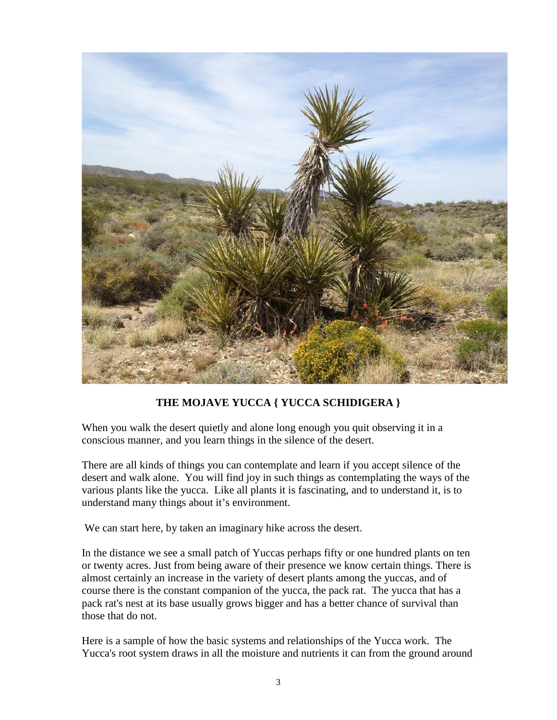

### **THE MOJAVE YUCCA { YUCCA SCHIDIGERA }**

When you walk the desert quietly and alone long enough you quit observing it in a conscious manner, and you learn things in the silence of the desert.

There are all kinds of things you can contemplate and learn if you accept silence of the desert and walk alone. You will find joy in such things as contemplating the ways of the various plants like the yucca. Like all plants it is fascinating, and to understand it, is to understand many things about it's environment.

We can start here, by taken an imaginary hike across the desert.

In the distance we see a small patch of Yuccas perhaps fifty or one hundred plants on ten or twenty acres. Just from being aware of their presence we know certain things. There is almost certainly an increase in the variety of desert plants among the yuccas, and of course there is the constant companion of the yucca, the pack rat. The yucca that has a pack rat's nest at its base usually grows bigger and has a better chance of survival than those that do not.

Here is a sample of how the basic systems and relationships of the Yucca work. The Yucca's root system draws in all the moisture and nutrients it can from the ground around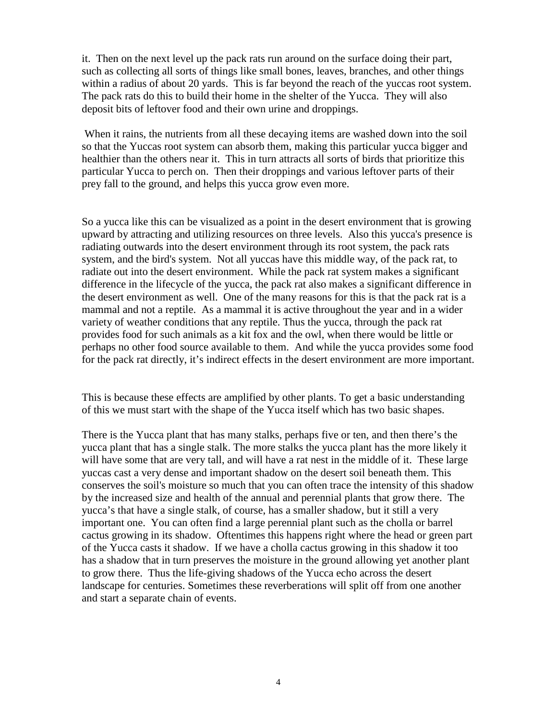it. Then on the next level up the pack rats run around on the surface doing their part, such as collecting all sorts of things like small bones, leaves, branches, and other things within a radius of about 20 yards. This is far beyond the reach of the yuccas root system. The pack rats do this to build their home in the shelter of the Yucca. They will also deposit bits of leftover food and their own urine and droppings.

When it rains, the nutrients from all these decaying items are washed down into the soil so that the Yuccas root system can absorb them, making this particular yucca bigger and healthier than the others near it. This in turn attracts all sorts of birds that prioritize this particular Yucca to perch on. Then their droppings and various leftover parts of their prey fall to the ground, and helps this yucca grow even more.

So a yucca like this can be visualized as a point in the desert environment that is growing upward by attracting and utilizing resources on three levels. Also this yucca's presence is radiating outwards into the desert environment through its root system, the pack rats system, and the bird's system. Not all yuccas have this middle way, of the pack rat, to radiate out into the desert environment. While the pack rat system makes a significant difference in the lifecycle of the yucca, the pack rat also makes a significant difference in the desert environment as well. One of the many reasons for this is that the pack rat is a mammal and not a reptile. As a mammal it is active throughout the year and in a wider variety of weather conditions that any reptile. Thus the yucca, through the pack rat provides food for such animals as a kit fox and the owl, when there would be little or perhaps no other food source available to them. And while the yucca provides some food for the pack rat directly, it's indirect effects in the desert environment are more important.

This is because these effects are amplified by other plants. To get a basic understanding of this we must start with the shape of the Yucca itself which has two basic shapes.

There is the Yucca plant that has many stalks, perhaps five or ten, and then there's the yucca plant that has a single stalk. The more stalks the yucca plant has the more likely it will have some that are very tall, and will have a rat nest in the middle of it. These large yuccas cast a very dense and important shadow on the desert soil beneath them. This conserves the soil's moisture so much that you can often trace the intensity of this shadow by the increased size and health of the annual and perennial plants that grow there. The yucca's that have a single stalk, of course, has a smaller shadow, but it still a very important one. You can often find a large perennial plant such as the cholla or barrel cactus growing in its shadow. Oftentimes this happens right where the head or green part of the Yucca casts it shadow. If we have a cholla cactus growing in this shadow it too has a shadow that in turn preserves the moisture in the ground allowing yet another plant to grow there. Thus the life-giving shadows of the Yucca echo across the desert landscape for centuries. Sometimes these reverberations will split off from one another and start a separate chain of events.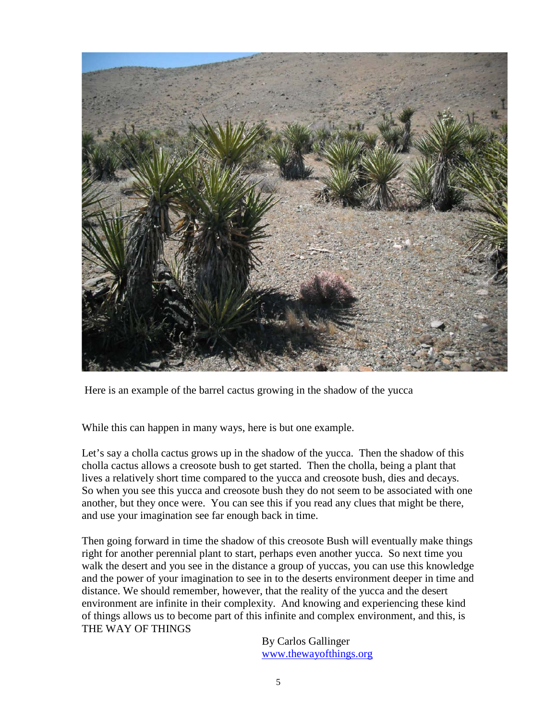

Here is an example of the barrel cactus growing in the shadow of the yucca

While this can happen in many ways, here is but one example.

Let's say a cholla cactus grows up in the shadow of the yucca. Then the shadow of this cholla cactus allows a creosote bush to get started. Then the cholla, being a plant that lives a relatively short time compared to the yucca and creosote bush, dies and decays. So when you see this yucca and creosote bush they do not seem to be associated with one another, but they once were. You can see this if you read any clues that might be there, and use your imagination see far enough back in time.

Then going forward in time the shadow of this creosote Bush will eventually make things right for another perennial plant to start, perhaps even another yucca. So next time you walk the desert and you see in the distance a group of yuccas, you can use this knowledge and the power of your imagination to see in to the deserts environment deeper in time and distance. We should remember, however, that the reality of the yucca and the desert environment are infinite in their complexity. And knowing and experiencing these kind of things allows us to become part of this infinite and complex environment, and this, is THE WAY OF THINGS

> By Carlos Gallinger [www.thewayofthings.org](http://www.thewayofthings.org/)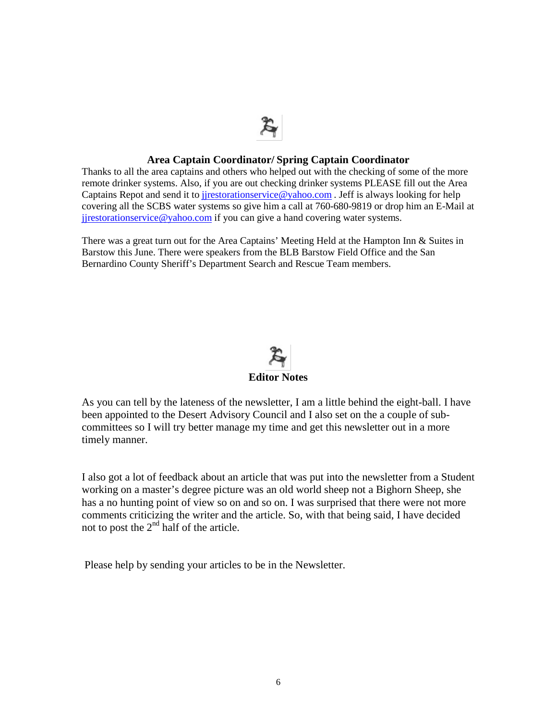## Z

#### **Area Captain Coordinator/ Spring Captain Coordinator**

Thanks to all the area captains and others who helped out with the checking of some of the more remote drinker systems. Also, if you are out checking drinker systems PLEASE fill out the Area Captains Repot and send it to jirestorationservice@yahoo.com. Jeff is always looking for help covering all the SCBS water systems so give him a call at 760-680-9819 or drop him an E-Mail at jirestorationservice@yahoo.com if you can give a hand covering water systems.

There was a great turn out for the Area Captains' Meeting Held at the Hampton Inn & Suites in Barstow this June. There were speakers from the BLB Barstow Field Office and the San Bernardino County Sheriff's Department Search and Rescue Team members. 



As you can tell by the lateness of the newsletter, I am a little behind the eight-ball. I have been appointed to the Desert Advisory Council and I also set on the a couple of subcommittees so I will try better manage my time and get this newsletter out in a more timely manner.

I also got a lot of feedback about an article that was put into the newsletter from a Student working on a master's degree picture was an old world sheep not a Bighorn Sheep, she has a no hunting point of view so on and so on. I was surprised that there were not more comments criticizing the writer and the article. So, with that being said, I have decided not to post the  $2<sup>nd</sup>$  half of the article.

Please help by sending your articles to be in the Newsletter.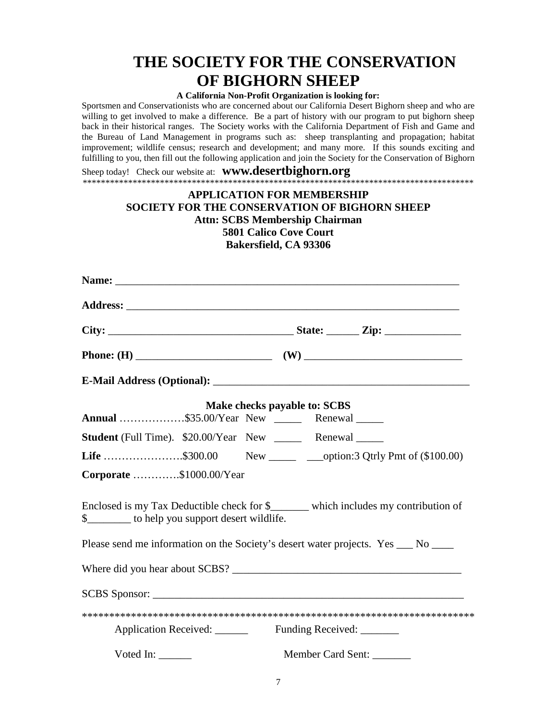### **THE SOCIETY FOR THE CONSERVATION OF BIGHORN SHEEP**

#### **A California Non-Profit Organization is looking for:**

Sportsmen and Conservationists who are concerned about our California Desert Bighorn sheep and who are willing to get involved to make a difference. Be a part of history with our program to put bighorn sheep back in their historical ranges. The Society works with the California Department of Fish and Game and the Bureau of Land Management in programs such as: sheep transplanting and propagation; habitat improvement; wildlife census; research and development; and many more. If this sounds exciting and fulfilling to you, then fill out the following application and join the Society for the Conservation of Bighorn

Sheep today! Check our website at: **www.desertbighorn.org** \*\*\*\*\*\*\*\*\*\*\*\*\*\*\*\*\*\*\*\*\*\*\*\*\*\*\*\*\*\*\*\*\*\*\*\*\*\*\*\*\*\*\*\*\*\*\*\*\*\*\*\*\*\*\*\*\*\*\*\*\*\*\*\*\*\*\*\*\*\*\*\*\*\*\*\*\*\*\*\*\*\*\*\*\*\*

#### **APPLICATION FOR MEMBERSHIP SOCIETY FOR THE CONSERVATION OF BIGHORN SHEEP Attn: SCBS Membership Chairman 5801 Calico Cove Court Bakersfield, CA 93306**

|                                                            |                          | Make checks payable to: SCBS |                                                                                    |
|------------------------------------------------------------|--------------------------|------------------------------|------------------------------------------------------------------------------------|
| Annual \$35.00/Year New _______ Renewal ______             |                          |                              |                                                                                    |
| Student (Full Time). \$20.00/Year New ______ Renewal _____ |                          |                              |                                                                                    |
|                                                            |                          |                              | <b>Life</b> \$300.00 New ________ ___option:3 Qtrly Pmt of (\$100.00)              |
| Corporate \$1000.00/Year                                   |                          |                              |                                                                                    |
| \$__________ to help you support desert wildlife.          |                          |                              | Enclosed is my Tax Deductible check for \$______ which includes my contribution of |
|                                                            |                          |                              | Please send me information on the Society's desert water projects. Yes ___ No ___  |
|                                                            |                          |                              |                                                                                    |
|                                                            |                          |                              |                                                                                    |
|                                                            |                          |                              |                                                                                    |
|                                                            |                          |                              |                                                                                    |
| Voted In: $\frac{1}{1}$                                    | Member Card Sent: ______ |                              |                                                                                    |